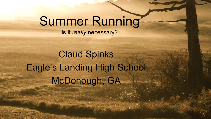## Summer Running

Is it *really* necessary?

Claud Spinks Eagle's Landing High School McDonough, GA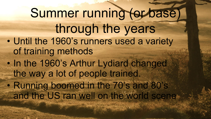Summer running (or base) through the years • Until the 1960's runners used a variety of training methods • In the 1960's Arthur Lydiard changed the way a lot of people trained. • Running boomed in the 70's and 80's and the US ran well on the world scene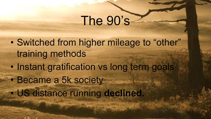## The 90's

• Switched from higher mileage to "other" training methods • Instant gratification vs long term goals • Became a 5k society • US distance running **declined.**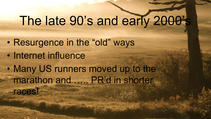# The late 90's and early 2000's

- Resurgence in the "old" ways
- Internet influence
- Many US runners moved up to the marathon and ….. PR'd in shorter
	- races!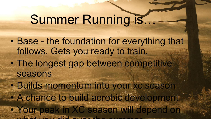### Summer Running is…

- Base the foundation for everything that follows. Gets you ready to train. • The longest gap between competitive seasons • Builds momentum into your xc season
- A chance to build aerobic development
- Your peak in XC season will depend on what you did not the summer.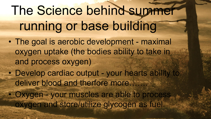# The Science behind summer running or base building

- The goal is aerobic development maximal oxygen uptake (the bodies ability to take in and process oxygen)
- Develop cardiac output your hearts ability to deliver blood and therfore more
- Oxygen your muscles are able to process oxygen and store/utilize glycogen as fuel.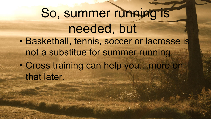So, summer running is needed, but • Basketball, tennis, soccer or lacrosse is not a substitue for summer running • Cross training can help you…more on that later.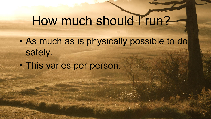## How much should I run?

- As much as is physically possible to do safely.
- This varies per person.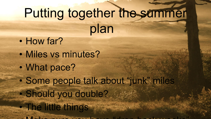# Putting together the summer plan

- How far?
- Miles vs minutes?
- What pace?

• The little things

 $MN + 4$  is defined by the sure of  $MN + 4$ 

• Some people talk about "junk" miles • Should you double?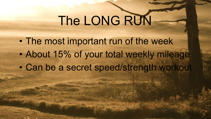# The LONG RUN-

• The most important run of the week • About 15% of your total weekly mileage • Can be a secret speed/strength workout

THE OWNER WAS SERVED ON THE REAL PROPERTY AND INCOME.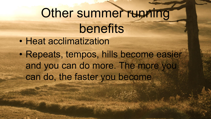## Other summer running benefits • Heat acclimatization • Repeats, tempos, hills become easier and you can do more. The more you can do, the faster you become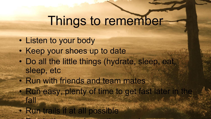## Things to remember

- Listen to your body
- Keep your shoes up to date
- Do all the little things (hydrate, sleep, eat, sleep, etc
- Run with friends and team mates

• Run in the morning or the evening

- Run easy, plenty of time to get fast later in the fall
- Run trails if at all possible